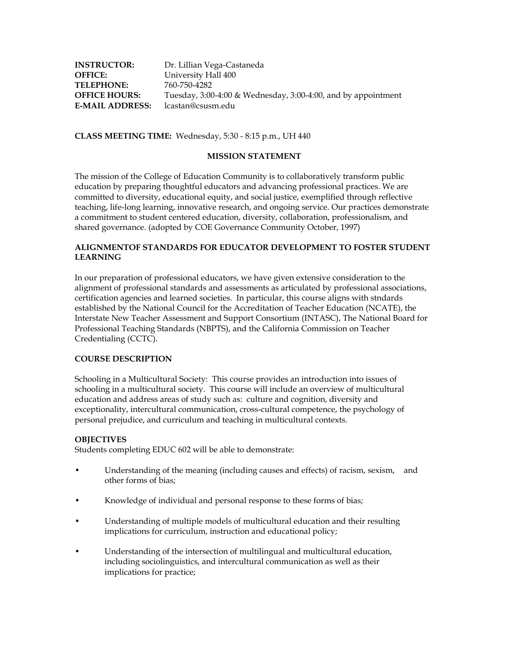| <b>INSTRUCTOR:</b>     | Dr. Lillian Vega-Castaneda                                         |
|------------------------|--------------------------------------------------------------------|
| <b>OFFICE:</b>         | University Hall 400                                                |
| <b>TELEPHONE:</b>      | 760-750-4282                                                       |
| <b>OFFICE HOURS:</b>   | Tuesday, $3:00-4:00$ & Wednesday, $3:00-4:00$ , and by appointment |
| <b>E-MAIL ADDRESS:</b> | lcastan@csusm.edu                                                  |

**CLASS MEETING TIME:** Wednesday, 5:30 - 8:15 p.m., UH 440

## **MISSION STATEMENT**

The mission of the College of Education Community is to collaboratively transform public education by preparing thoughtful educators and advancing professional practices. We are committed to diversity, educational equity, and social justice, exemplified through reflective teaching, life-long learning, innovative research, and ongoing service. Our practices demonstrate a commitment to student centered education, diversity, collaboration, professionalism, and shared governance. (adopted by COE Governance Community October, 1997)

## **ALIGNMENTOF STANDARDS FOR EDUCATOR DEVELOPMENT TO FOSTER STUDENT LEARNING**

In our preparation of professional educators, we have given extensive consideration to the alignment of professional standards and assessments as articulated by professional associations, certification agencies and learned societies. In particular, this course aligns with stndards established by the National Council for the Accreditation of Teacher Education (NCATE), the Interstate New Teacher Assessment and Support Consortium (INTASC), The National Board for Professional Teaching Standards (NBPTS), and the California Commission on Teacher Credentialing (CCTC).

## **COURSE DESCRIPTION**

Schooling in a Multicultural Society: This course provides an introduction into issues of schooling in a multicultural society. This course will include an overview of multicultural education and address areas of study such as: culture and cognition, diversity and exceptionality, intercultural communication, cross-cultural competence, the psychology of personal prejudice, and curriculum and teaching in multicultural contexts.

#### **OBJECTIVES**

Students completing EDUC 602 will be able to demonstrate:

- Understanding of the meaning (including causes and effects) of racism, sexism, and other forms of bias;
- Knowledge of individual and personal response to these forms of bias;
- Understanding of multiple models of multicultural education and their resulting implications for curriculum, instruction and educational policy;
- Understanding of the intersection of multilingual and multicultural education, including sociolinguistics, and intercultural communication as well as their implications for practice;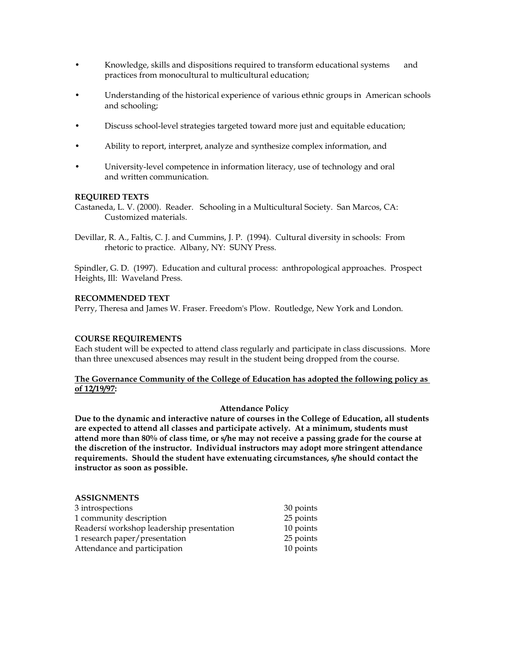- Knowledge, skills and dispositions required to transform educational systems and practices from monocultural to multicultural education;
- Understanding of the historical experience of various ethnic groups in American schools and schooling;
- Discuss school-level strategies targeted toward more just and equitable education;
- Ability to report, interpret, analyze and synthesize complex information, and
- University-level competence in information literacy, use of technology and oral and written communication.

## **REQUIRED TEXTS**

Castaneda, L. V. (2000). Reader. Schooling in a Multicultural Society. San Marcos, CA: Customized materials.

Devillar, R. A., Faltis, C. J. and Cummins, J. P. (1994). Cultural diversity in schools: From rhetoric to practice. Albany, NY: SUNY Press.

Spindler, G. D. (1997). Education and cultural process: anthropological approaches. Prospect Heights, Ill: Waveland Press.

#### **RECOMMENDED TEXT**

Perry, Theresa and James W. Fraser. Freedom's Plow. Routledge, New York and London.

### **COURSE REQUIREMENTS**

Each student will be expected to attend class regularly and participate in class discussions. More than three unexcused absences may result in the student being dropped from the course.

## **The Governance Community of the College of Education has adopted the following policy as of 12/19/97:**

#### **Attendance Policy**

**Due to the dynamic and interactive nature of courses in the College of Education, all students are expected to attend all classes and participate actively. At a minimum, students must attend more than 80% of class time, or s/he may not receive a passing grade for the course at the discretion of the instructor. Individual instructors may adopt more stringent attendance requirements. Should the student have extenuating circumstances, s/he should contact the instructor as soon as possible.**

#### **ASSIGNMENTS**

| 3 introspections                          | 30 points |
|-------------------------------------------|-----------|
| 1 community description                   | 25 points |
| Readersí workshop leadership presentation | 10 points |
| 1 research paper/presentation             | 25 points |
| Attendance and participation              | 10 points |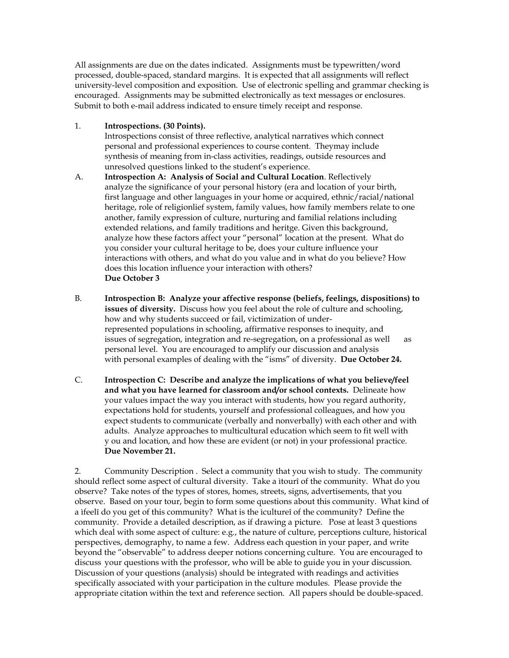All assignments are due on the dates indicated. Assignments must be typewritten/word processed, double-spaced, standard margins. It is expected that all assignments will reflect university-level composition and exposition. Use of electronic spelling and grammar checking is encouraged. Assignments may be submitted electronically as text messages or enclosures. Submit to both e-mail address indicated to ensure timely receipt and response.

# 1. **Introspections. (30 Points).**

Introspections consist of three reflective, analytical narratives which connect personal and professional experiences to course content. Theymay include synthesis of meaning from in-class activities, readings, outside resources and unresolved questions linked to the student's experience.

- A. **Introspection A: Analysis of Social and Cultural Location**. Reflectively analyze the significance of your personal history (era and location of your birth, first language and other languages in your home or acquired, ethnic/racial/national heritage, role of religionlief system, family values, how family members relate to one another, family expression of culture, nurturing and familial relations including extended relations, and family traditions and heritge. Given this background, analyze how these factors affect your "personal" location at the present. What do you consider your cultural heritage to be, does your culture influence your interactions with others, and what do you value and in what do you believe? How does this location influence your interaction with others? **Due October 3**
- B. **Introspection B: Analyze your affective response (beliefs, feelings, dispositions) to issues of diversity.** Discuss how you feel about the role of culture and schooling, how and why students succeed or fail, victimization of underrepresented populations in schooling, affirmative responses to inequity, and issues of segregation, integration and re-segregation, on a professional as well as personal level. You are encouraged to amplify our discussion and analysis with personal examples of dealing with the "isms" of diversity. **Due October 24.**
- C. **Introspection C: Describe and analyze the implications of what you believe/feel and what you have learned for classroom and/or school contexts.** Delineate how your values impact the way you interact with students, how you regard authority, expectations hold for students, yourself and professional colleagues, and how you expect students to communicate (verbally and nonverbally) with each other and with adults. Analyze approaches to multicultural education which seem to fit well with y ou and location, and how these are evident (or not) in your professional practice. **Due November 21.**

2. Community Description . Select a community that you wish to study. The community should reflect some aspect of cultural diversity. Take a ìtourî of the community. What do you observe? Take notes of the types of stores, homes, streets, signs, advertisements, that you observe. Based on your tour, begin to form some questions about this community. What kind of a ìfeelî do you get of this community? What is the ìcultureî of the community? Define the community. Provide a detailed description, as if drawing a picture. Pose at least 3 questions which deal with some aspect of culture: e.g., the nature of culture, perceptions culture, historical perspectives, demography, to name a few. Address each question in your paper, and write beyond the "observable" to address deeper notions concerning culture. You are encouraged to discuss your questions with the professor, who will be able to guide you in your discussion. Discussion of your questions (analysis) should be integrated with readings and activities specifically associated with your participation in the culture modules. Please provide the appropriate citation within the text and reference section. All papers should be double-spaced.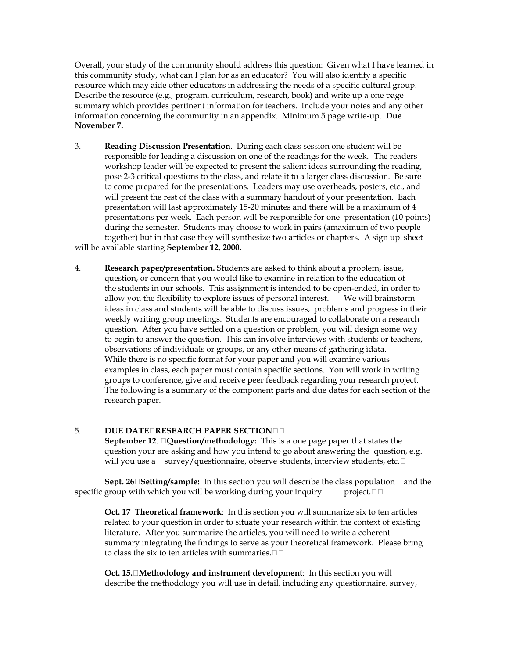Overall, your study of the community should address this question: Given what I have learned in this community study, what can I plan for as an educator? You will also identify a specific resource which may aide other educators in addressing the needs of a specific cultural group. Describe the resource (e.g., program, curriculum, research, book) and write up a one page summary which provides pertinent information for teachers. Include your notes and any other information concerning the community in an appendix. Minimum 5 page write-up. **Due November 7.**

- 3. **Reading Discussion Presentation**. During each class session one student will be responsible for leading a discussion on one of the readings for the week. The readers workshop leader will be expected to present the salient ideas surrounding the reading, pose 2-3 critical questions to the class, and relate it to a larger class discussion. Be sure to come prepared for the presentations. Leaders may use overheads, posters, etc., and will present the rest of the class with a summary handout of your presentation. Each presentation will last approximately 15-20 minutes and there will be a maximum of 4 presentations per week. Each person will be responsible for one presentation (10 points) during the semester. Students may choose to work in pairs (amaximum of two people together) but in that case they will synthesize two articles or chapters. A sign up sheet will be available starting **September 12, 2000.**
- 4. **Research paper/presentation.** Students are asked to think about a problem, issue, question, or concern that you would like to examine in relation to the education of the students in our schools. This assignment is intended to be open-ended, in order to allow you the flexibility to explore issues of personal interest. We will brainstorm ideas in class and students will be able to discuss issues, problems and progress in their weekly writing group meetings. Students are encouraged to collaborate on a research question. After you have settled on a question or problem, you will design some way to begin to answer the question. This can involve interviews with students or teachers, observations of individuals or groups, or any other means of gathering ìdata. While there is no specific format for your paper and you will examine various examples in class, each paper must contain specific sections. You will work in writing groups to conference, give and receive peer feedback regarding your research project. The following is a summary of the component parts and due dates for each section of the research paper.

## **5. DUE DATE¤RESEARCH PAPER SECTION**

**September 12**. **Question/methodology:** This is a one page paper that states the question your are asking and how you intend to go about answering the question, e.g. will you use a survey/questionnaire, observe students, interview students, etc.

**Sept. 26Setting/sample:** In this section you will describe the class population and the specific group with which you will be working during your inquiry  $\Box$  project.  $\Box$ 

**Oct. 17 Theoretical framework**: In this section you will summarize six to ten articles related to your question in order to situate your research within the context of existing literature. After you summarize the articles, you will need to write a coherent summary integrating the findings to serve as your theoretical framework. Please bring to class the six to ten articles with summaries.

**Oct. 15.Methodology and instrument development**: In this section you will describe the methodology you will use in detail, including any questionnaire, survey,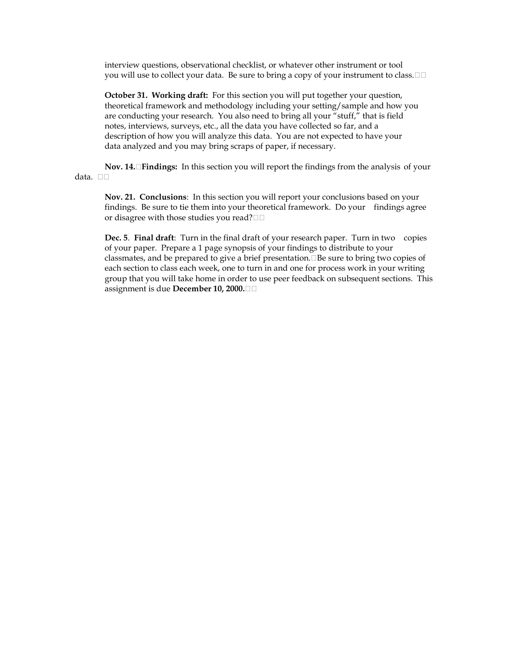interview questions, observational checklist, or whatever other instrument or tool you will use to collect your data. Be sure to bring a copy of your instrument to class.  $\Box$ 

**October 31. Working draft:** For this section you will put together your question, theoretical framework and methodology including your setting/sample and how you are conducting your research. You also need to bring all your "stuff," that is field notes, interviews, surveys, etc., all the data you have collected so far, and a description of how you will analyze this data. You are not expected to have your data analyzed and you may bring scraps of paper, if necessary.

**Nov. 14.Findings:** In this section you will report the findings from the analysis of your data. □□

**Nov. 21. Conclusions**: In this section you will report your conclusions based on your findings. Be sure to tie them into your theoretical framework. Do your findings agree or disagree with those studies you read?

**Dec. 5**. **Final draft**: Turn in the final draft of your research paper. Turn in two copies of your paper. Prepare a 1 page synopsis of your findings to distribute to your classmates, and be prepared to give a brief presentation. $\Box$ Be sure to bring two copies of each section to class each week, one to turn in and one for process work in your writing group that you will take home in order to use peer feedback on subsequent sections. This assignment is due **December 10, 2000.**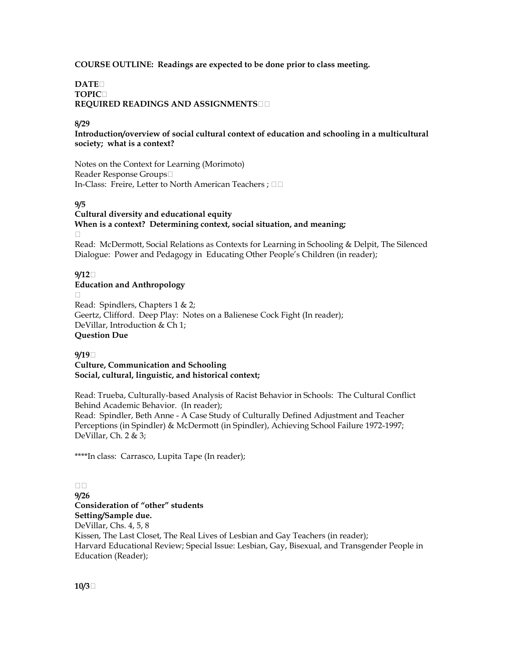## **COURSE OUTLINE: Readings are expected to be done prior to class meeting.**

## **DATE TOPIC REQUIRED READINGS AND ASSIGNMENTS**

## **8/29**

**Introduction/overview of social cultural context of education and schooling in a multicultural society; what is a context?**

Notes on the Context for Learning (Morimoto) Reader Response Groups In-Class: Freire, Letter to North American Teachers;  $\square$ 

## **9/5**

#### **Cultural diversity and educational equity When is a context? Determining context, social situation, and meaning;**   $\Box$

Read: McDermott, Social Relations as Contexts for Learning in Schooling & Delpit, The Silenced Dialogue: Power and Pedagogy in Educating Other People's Children (in reader);

## **9/12**

## **Education and Anthropology**

 $\Box$ Read: Spindlers, Chapters 1 & 2; Geertz, Clifford. Deep Play: Notes on a Balienese Cock Fight (In reader); DeVillar, Introduction & Ch 1; **Question Due**

## **9/19**

**Culture, Communication and Schooling Social, cultural, linguistic, and historical context;** 

Read: Trueba, Culturally-based Analysis of Racist Behavior in Schools: The Cultural Conflict Behind Academic Behavior. (In reader);

Read: Spindler, Beth Anne - A Case Study of Culturally Defined Adjustment and Teacher Perceptions (in Spindler) & McDermott (in Spindler), Achieving School Failure 1972-1997; DeVillar, Ch. 2 & 3;

\*\*\*\*In class: Carrasco, Lupita Tape (In reader);

 $\Box$ **9/26 Consideration of "other" students Setting/Sample due.** DeVillar, Chs. 4, 5, 8 Kissen, The Last Closet, The Real Lives of Lesbian and Gay Teachers (in reader); Harvard Educational Review; Special Issue: Lesbian, Gay, Bisexual, and Transgender People in Education (Reader);

**10/3**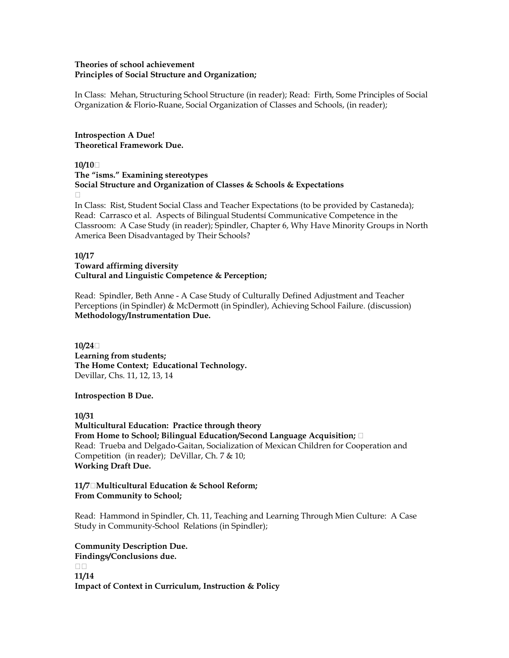## **Theories of school achievement Principles of Social Structure and Organization;**

In Class: Mehan, Structuring School Structure (in reader); Read: Firth, Some Principles of Social Organization & Florio-Ruane, Social Organization of Classes and Schools, (in reader);

**Introspection A Due! Theoretical Framework Due.**

**10/10**

**The "isms." Examining stereotypes Social Structure and Organization of Classes & Schools & Expectations**  $\Box$ 

In Class: Rist, Student Social Class and Teacher Expectations (to be provided by Castaneda); Read: Carrasco et al. Aspects of Bilingual Studentsí Communicative Competence in the Classroom: A Case Study (in reader); Spindler, Chapter 6, Why Have Minority Groups in North America Been Disadvantaged by Their Schools?

## **10/17**

# **Toward affirming diversity Cultural and Linguistic Competence & Perception;**

Read: Spindler, Beth Anne - A Case Study of Culturally Defined Adjustment and Teacher Perceptions (in Spindler) & McDermott (in Spindler), Achieving School Failure. (discussion) **Methodology/Instrumentation Due.**

**10/24 Learning from students; The Home Context; Educational Technology.** Devillar, Chs. 11, 12, 13, 14

# **Introspection B Due.**

**10/31 Multicultural Education: Practice through theory From Home to School; Bilingual Education/Second Language Acquisition;**  Read: Trueba and Delgado-Gaitan, Socialization of Mexican Children for Cooperation and Competition (in reader); DeVillar, Ch. 7 & 10; **Working Draft Due.**

**11/7Multicultural Education & School Reform; From Community to School;** 

Read: Hammond in Spindler, Ch. 11, Teaching and Learning Through Mien Culture: A Case Study in Community-School Relations (in Spindler);

**Community Description Due. Findings/Conclusions due.**  $\Box$ Box **11/14 Impact of Context in Curriculum, Instruction & Policy**